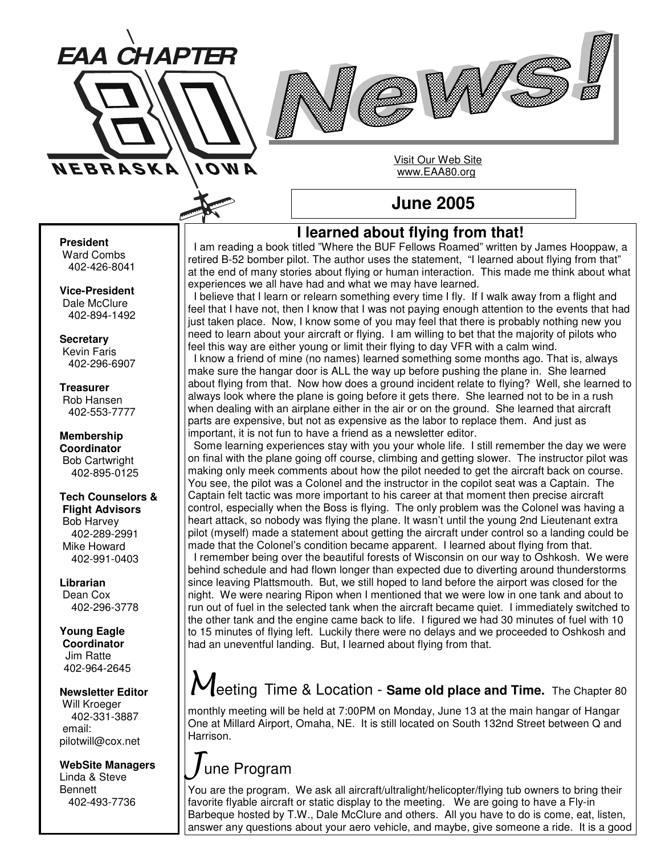



Visit Our Web Site www.EAA80.org

## **June 2005**

#### **President**

Ward Combs 402-426-8041

**Vice-President** Dale McClure 402-894-1492

**Secretary** Kevin Faris 402-296-6907

**Treasurer** Rob Hansen 402-553-7777

**Membership Coordinator** Bob Cartwright 402-895-0125

**Tech Counselors & Flight Advisors** Bob Harvey 402-289-2991 Mike Howard 402-991-0403

**Librarian** Dean Cox 402-296-3778

**Young Eagle Coordinator** Jim Ratte 402-964-2645

**Newsletter Editor** Will Kroeger 402-331-3887 email: pilotwill@cox.net

**WebSite Managers** Linda & Steve **Bennett** 402-493-7736

## **I learned about flying from that!**

I am reading a book titled "Where the BUF Fellows Roamed" written by James Hooppaw, a retired B-52 bomber pilot. The author uses the statement, "I learned about flying from that" at the end of many stories about flying or human interaction. This made me think about what experiences we all have had and what we may have learned.

I believe that I learn or relearn something every time I fly. If I walk away from a flight and feel that I have not, then I know that I was not paying enough attention to the events that had just taken place. Now, I know some of you may feel that there is probably nothing new you need to learn about your aircraft or flying. I am willing to bet that the majority of pilots who feel this way are either young or limit their flying to day VFR with a calm wind.

I know a friend of mine (no names) learned something some months ago. That is, always make sure the hangar door is ALL the way up before pushing the plane in. She learned about flying from that. Now how does a ground incident relate to flying? Well, she learned to always look where the plane is going before it gets there. She learned not to be in a rush when dealing with an airplane either in the air or on the ground. She learned that aircraft parts are expensive, but not as expensive as the labor to replace them. And just as important, it is not fun to have a friend as a newsletter editor.

Some learning experiences stay with you your whole life. I still remember the day we were on final with the plane going off course, climbing and getting slower. The instructor pilot was making only meek comments about how the pilot needed to get the aircraft back on course. You see, the pilot was a Colonel and the instructor in the copilot seat was a Captain. The Captain felt tactic was more important to his career at that moment then precise aircraft control, especially when the Boss is flying. The only problem was the Colonel was having a heart attack, so nobody was flying the plane. It wasn't until the young 2nd Lieutenant extra pilot (myself) made a statement about getting the aircraft under control so a landing could be made that the Colonel's condition became apparent. I learned about flying from that.

I remember being over the beautiful forests of Wisconsin on our way to Oshkosh. We were behind schedule and had flown longer than expected due to diverting around thunderstorms since leaving Plattsmouth. But, we still hoped to land before the airport was closed for the night. We were nearing Ripon when I mentioned that we were low in one tank and about to run out of fuel in the selected tank when the aircraft became quiet. I immediately switched to the other tank and the engine came back to life. I figured we had 30 minutes of fuel with 10 to 15 minutes of flying left. Luckily there were no delays and we proceeded to Oshkosh and had an uneventful landing. But, I learned about flying from that.

## eeting Time & Location - **Same old place and Time.** The Chapter <sup>80</sup>

monthly meeting will be held at 7:00PM on Monday, June 13 at the main hangar of Hangar One at Millard Airport, Omaha, NE. It is still located on South 132nd Street between Q and Harrison.

#### $\int$ une Program

You are the program. We ask all aircraft/ultralight/helicopter/flying tub owners to bring their favorite flyable aircraft or static display to the meeting. We are going to have a Fly-in Barbeque hosted by T.W., Dale McClure and others. All you have to do is come, eat, listen, answer any questions about your aero vehicle, and maybe, give someone a ride. It is a good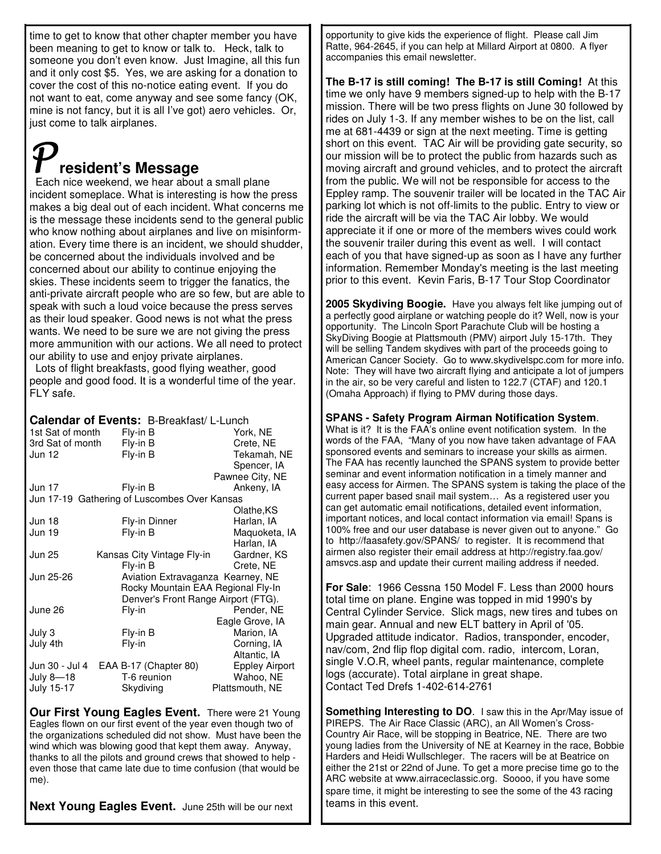time to get to know that other chapter member you have been meaning to get to know or talk to. Heck, talk to someone you don't even know. Just Imagine, all this fun and it only cost \$5. Yes, we are asking for a donation to cover the cost of this no-notice eating event. If you do not want to eat, come anyway and see some fancy (OK, mine is not fancy, but it is all I've got) aero vehicles. Or, just come to talk airplanes.

# **resident's Message**

Each nice weekend, we hear about a small plane incident someplace. What is interesting is how the press makes a big deal out of each incident. What concerns me is the message these incidents send to the general public who know nothing about airplanes and live on misinformation. Every time there is an incident, we should shudder, be concerned about the individuals involved and be concerned about our ability to continue enjoying the skies. These incidents seem to trigger the fanatics, the anti-private aircraft people who are so few, but are able to speak with such a loud voice because the press serves as their loud speaker. Good news is not what the press wants. We need to be sure we are not giving the press more ammunition with our actions. We all need to protect our ability to use and enjoy private airplanes.

Lots of flight breakfasts, good flying weather, good people and good food. It is a wonderful time of the year. FLY safe.

**Calendar of Events:** B-Breakfast/ L-Lunch 1st Sat of month Fly-in B York, NE<br>3rd Sat of month Fly-in B Crete, NE 3rd Sat of month Jun 12 Fly-in B Tekamah, NE Spencer, IA Pawnee City, NE Jun 17 Fly-in B Ankeny, IA Jun 17-19 Gathering of Luscombes Over Kansas Olathe,KS Jun 18 Fly-in Dinner Harlan, IA<br>Jun 19 Fly-in B Maquoketa Jun 19 Fly-in B Maquoketa, IA Harlan, IA Jun 25 Kansas City Vintage Fly-in Gardner, KS Fly-in B Crete, NE Jun 25-26 Aviation Extravaganza Kearney, NE Rocky Mountain EAA Regional Fly-In Denver's Front Range Airport (FTG). June 26 Fly-in Pender, NE Eagle Grove, IA July 3 Fly-in B Marion, IA<br>
July 4th Fly-in Corning, IA Fly-in Corning, IA Altantic, IA Jun 30 - Jul 4 EAA B-17 (Chapter 80) Eppley Airport July 8—18 T-6 reunion The Wahoo, NE<br>
July 15-17 Skydiving Blattsmouth, NE Plattsmouth, NE

**Our First Young Eagles Event.** There were 21 Young Eagles flown on our first event of the year even though two of the organizations scheduled did not show. Must have been the wind which was blowing good that kept them away. Anyway, thanks to all the pilots and ground crews that showed to help even those that came late due to time confusion (that would be me).

**Next Young Eagles Event.** June 25th will be our next

opportunity to give kids the experience of flight. Please call Jim Ratte, 964-2645, if you can help at Millard Airport at 0800. A flyer accompanies this email newsletter.

**The B-17 is still coming! The B-17 is still Coming!** At this time we only have 9 members signed-up to help with the B-17 mission. There will be two press flights on June 30 followed by rides on July 1-3. If any member wishes to be on the list, call me at 681-4439 or sign at the next meeting. Time is getting short on this event. TAC Air will be providing gate security, so our mission will be to protect the public from hazards such as moving aircraft and ground vehicles, and to protect the aircraft from the public. We will not be responsible for access to the Eppley ramp. The souvenir trailer will be located in the TAC Air parking lot which is not off-limits to the public. Entry to view or ride the aircraft will be via the TAC Air lobby. We would appreciate it if one or more of the members wives could work the souvenir trailer during this event as well. I will contact each of you that have signed-up as soon as I have any further information. Remember Monday's meeting is the last meeting prior to this event. Kevin Faris, B-17 Tour Stop Coordinator

**2005 Skydiving Boogie.** Have you always felt like jumping out of a perfectly good airplane or watching people do it? Well, now is your opportunity. The Lincoln Sport Parachute Club will be hosting a SkyDiving Boogie at Plattsmouth (PMV) airport July 15-17th. They will be selling Tandem skydives with part of the proceeds going to American Cancer Society. Go to www.skydivelspc.com for more info. Note: They will have two aircraft flying and anticipate a lot of jumpers in the air, so be very careful and listen to 122.7 (CTAF) and 120.1 (Omaha Approach) if flying to PMV during those days.

#### **SPANS - Safety Program Airman Notification System**.

What is it? It is the FAA's online event notification system. In the words of the FAA, "Many of you now have taken advantage of FAA sponsored events and seminars to increase your skills as airmen. The FAA has recently launched the SPANS system to provide better seminar and event information notification in a timely manner and easy access for Airmen. The SPANS system is taking the place of the current paper based snail mail system… As a registered user you can get automatic email notifications, detailed event information, important notices, and local contact information via email! Spans is 100% free and our user database is never given out to anyone." Go to http://faasafety.gov/SPANS/ to register. It is recommend that airmen also register their email address at http://registry.faa.gov/ amsvcs.asp and update their current mailing address if needed.

**For Sale**: 1966 Cessna 150 Model F. Less than 2000 hours total time on plane. Engine was topped in mid 1990's by Central Cylinder Service. Slick mags, new tires and tubes on main gear. Annual and new ELT battery in April of '05. Upgraded attitude indicator. Radios, transponder, encoder, nav/com, 2nd flip flop digital com. radio, intercom, Loran, single V.O.R, wheel pants, regular maintenance, complete logs (accurate). Total airplane in great shape. Contact Ted Drefs 1-402-614-2761

**Something Interesting to DO**. I saw this in the Apr/May issue of PIREPS. The Air Race Classic (ARC), an All Women's Cross-Country Air Race, will be stopping in Beatrice, NE. There are two young ladies from the University of NE at Kearney in the race, Bobbie Harders and Heidi Wullschleger. The racers will be at Beatrice on either the 21st or 22nd of June. To get a more precise time go to the ARC website at www.airraceclassic.org. Soooo, if you have some spare time, it might be interesting to see the some of the 43 racing teams in this event.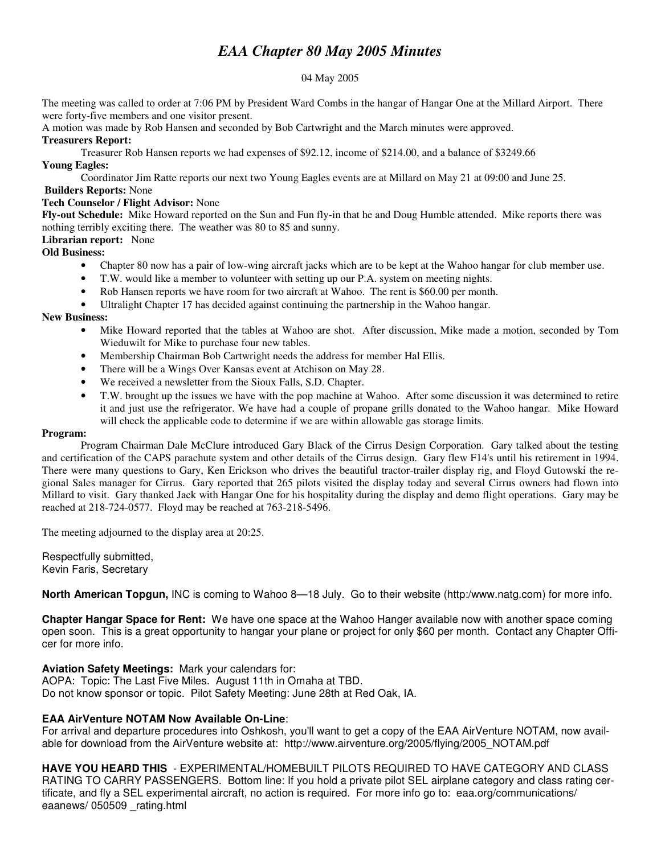### *EAA Chapter 80 May 2005 Minutes*

#### 04 May 2005

The meeting was called to order at 7:06 PM by President Ward Combs in the hangar of Hangar One at the Millard Airport. There were forty-five members and one visitor present.

A motion was made by Rob Hansen and seconded by Bob Cartwright and the March minutes were approved.

#### **Treasurers Report:**

Treasurer Rob Hansen reports we had expenses of \$92.12, income of \$214.00, and a balance of \$3249.66 **Young Eagles:**

Coordinator Jim Ratte reports our next two Young Eagles events are at Millard on May 21 at 09:00 and June 25.

#### **Builders Reports:** None

#### **Tech Counselor / Flight Advisor:** None

**Fly-out Schedule:** Mike Howard reported on the Sun and Fun fly-in that he and Doug Humble attended. Mike reports there was nothing terribly exciting there. The weather was 80 to 85 and sunny.

#### **Librarian report:** None

#### **Old Business:**

- Chapter 80 now has a pair of low-wing aircraft jacks which are to be kept at the Wahoo hangar for club member use.
- T.W. would like a member to volunteer with setting up our P.A. system on meeting nights.
- Rob Hansen reports we have room for two aircraft at Wahoo. The rent is \$60.00 per month.
- Ultralight Chapter 17 has decided against continuing the partnership in the Wahoo hangar.

#### **New Business:**

- Mike Howard reported that the tables at Wahoo are shot. After discussion, Mike made a motion, seconded by Tom Wieduwilt for Mike to purchase four new tables.
- Membership Chairman Bob Cartwright needs the address for member Hal Ellis.
- There will be a Wings Over Kansas event at Atchison on May 28.
- We received a newsletter from the Sioux Falls, S.D. Chapter.
- T.W. brought up the issues we have with the pop machine at Wahoo. After some discussion it was determined to retire it and just use the refrigerator. We have had a couple of propane grills donated to the Wahoo hangar. Mike Howard will check the applicable code to determine if we are within allowable gas storage limits.

#### **Program:**

Program Chairman Dale McClure introduced Gary Black of the Cirrus Design Corporation. Gary talked about the testing and certification of the CAPS parachute system and other details of the Cirrus design. Gary flew F14's until his retirement in 1994. There were many questions to Gary, Ken Erickson who drives the beautiful tractor-trailer display rig, and Floyd Gutowski the regional Sales manager for Cirrus. Gary reported that 265 pilots visited the display today and several Cirrus owners had flown into Millard to visit. Gary thanked Jack with Hangar One for his hospitality during the display and demo flight operations. Gary may be reached at 218-724-0577. Floyd may be reached at 763-218-5496.

The meeting adjourned to the display area at 20:25.

Respectfully submitted, Kevin Faris, Secretary

**North American Topgun,** INC is coming to Wahoo 8—18 July. Go to their website (http:/www.natg.com) for more info.

**Chapter Hangar Space for Rent:** We have one space at the Wahoo Hanger available now with another space coming open soon. This is a great opportunity to hangar your plane or project for only \$60 per month. Contact any Chapter Officer for more info.

**Aviation Safety Meetings:** Mark your calendars for:

AOPA: Topic: The Last Five Miles. August 11th in Omaha at TBD. Do not know sponsor or topic. Pilot Safety Meeting: June 28th at Red Oak, IA.

#### **EAA AirVenture NOTAM Now Available On-Line**:

For arrival and departure procedures into Oshkosh, you'll want to get a copy of the EAA AirVenture NOTAM, now available for download from the AirVenture website at: http://www.airventure.org/2005/flying/2005\_NOTAM.pdf

**HAVE YOU HEARD THIS** - EXPERIMENTAL/HOMEBUILT PILOTS REQUIRED TO HAVE CATEGORY AND CLASS RATING TO CARRY PASSENGERS. Bottom line: If you hold a private pilot SEL airplane category and class rating certificate, and fly a SEL experimental aircraft, no action is required. For more info go to: eaa.org/communications/ eaanews/050509 rating.html